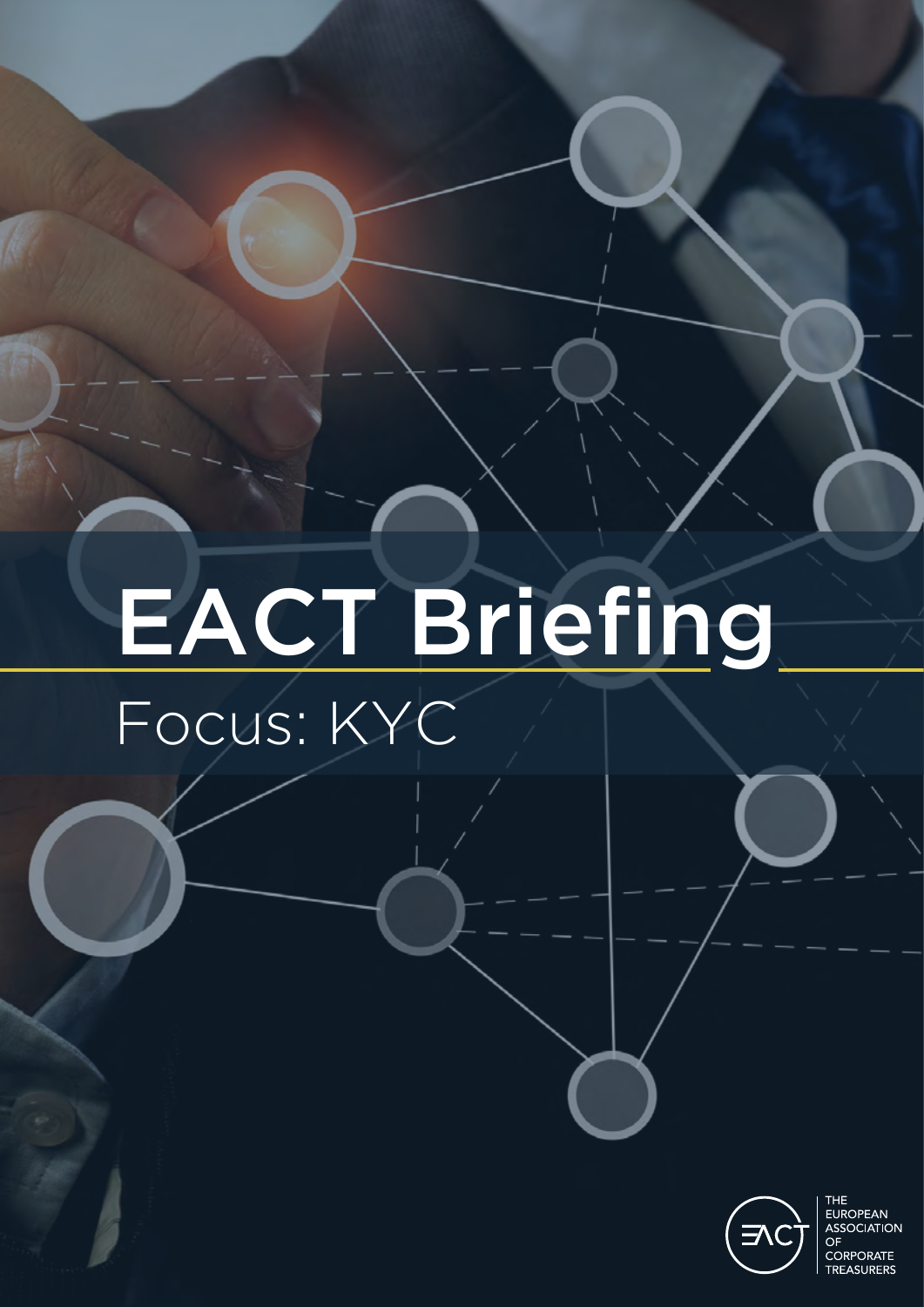## EACT Briefing Focus: KYC



THE<br>EUROPEAN<br>ASSOCIATION OF **CORPORATE** TREASURERS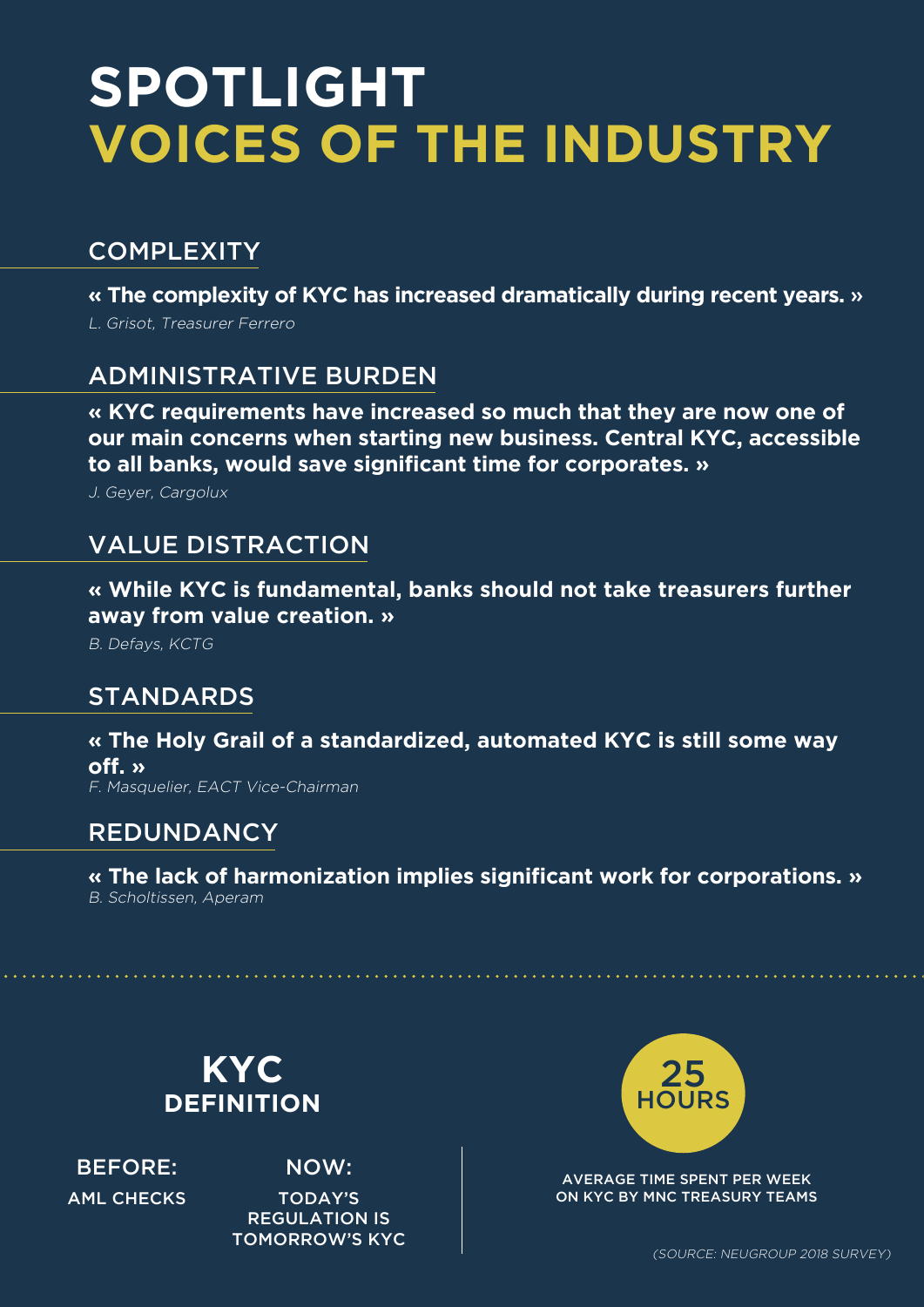## **SPOTLIGHT VOICES OF THE INDUSTRY**

#### **COMPLEXITY**

**« The complexity of KYC has increased dramatically during recent years.** » L. Grisot, Treasurer Ferrero

#### ADMINISTRATIVE BURDEN

**« KYC requirements have increased so much that they are now one of our main concerns when starting new business. Central KYC, accessible to all banks, would save significant time for corporates. »**

J. Geyer, Cargolux

#### VALUE DISTRACTION

**« While KYC is fundamental, banks should not take treasurers further away from value creation. »**

B. Defays, KCTG

#### STANDARDS

**« The Holy Grail of a standardized, automated KYC is still some way off. »** F. Masquelier, EACT Vice-Chairman

#### REDUNDANCY

**« The lack of harmonization implies significant work for corporations. »** B. Scholtissen, Aperam



BEFORE: AML CHECKS

NOW: TODAY'S REGULATION IS TOMORROW'S KYC



AVERAGE TIME SPENT PER WEEK ON KYC BY MNC TREASURY TEAMS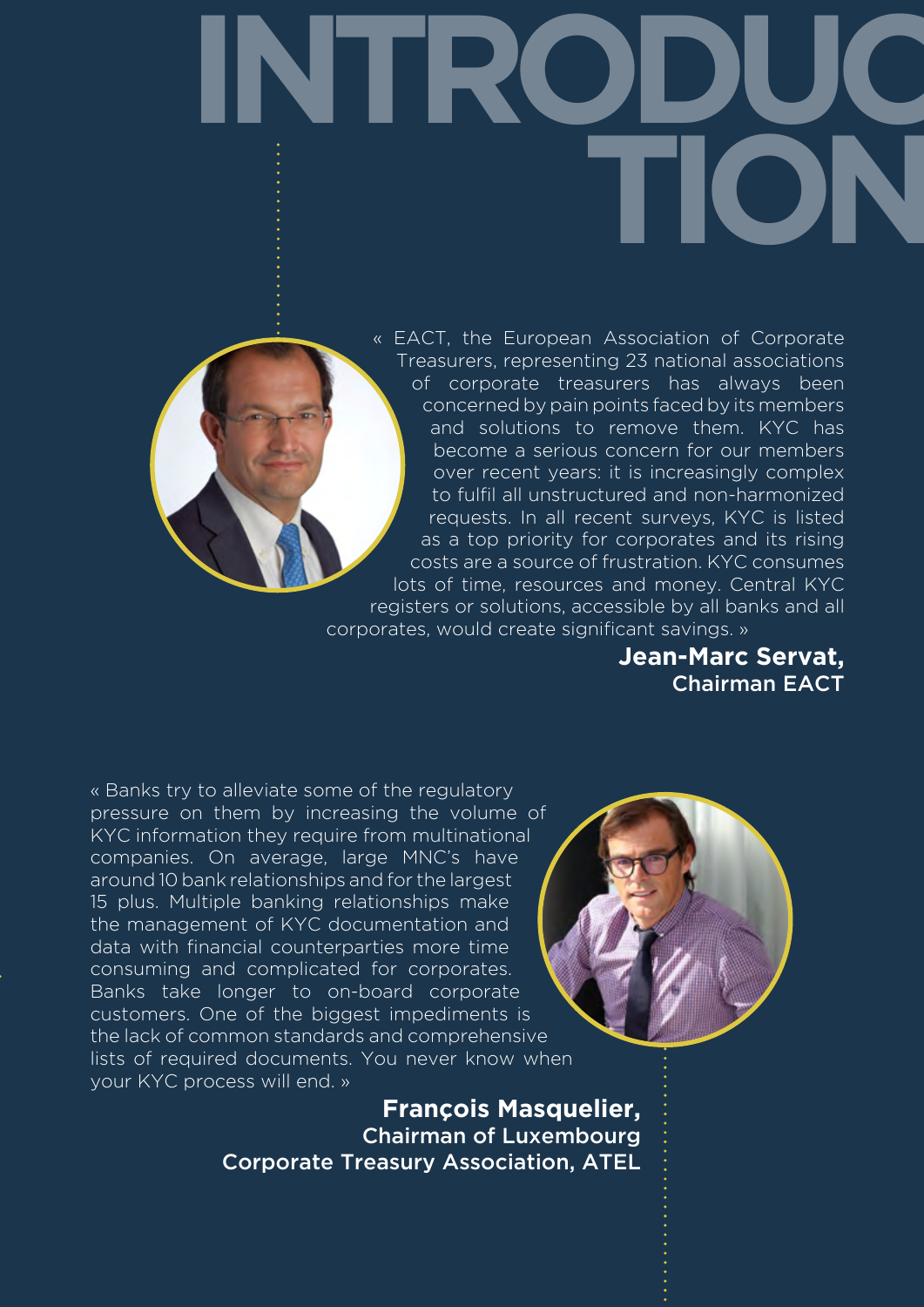**INTRODUC TION**

> « EACT, the European Association of Corporate Treasurers, representing 23 national associations of corporate treasurers has always been concerned by pain points faced by its members and solutions to remove them. KYC has become a serious concern for our members over recent years: it is increasingly complex to fulfil all unstructured and non-harmonized requests. In all recent surveys, KYC is listed as a top priority for corporates and its rising costs are a source of frustration. KYC consumes lots of time, resources and money. Central KYC registers or solutions, accessible by all banks and all corporates, would create significant savings. »

> > **Jean-Marc Servat,** Chairman EACT

« Banks try to alleviate some of the regulatory pressure on them by increasing the volume of KYC information they require from multinational companies. On average, large MNC's have around 10 bank relationships and for the largest 15 plus. Multiple banking relationships make the management of KYC documentation and data with financial counterparties more time consuming and complicated for corporates. Banks take longer to on-board corporate customers. One of the biggest impediments is the lack of common standards and comprehensive lists of required documents. You never know when your KYC process will end. »

> **François Masquelier,** Chairman of Luxembourg Corporate Treasury Association, ATEL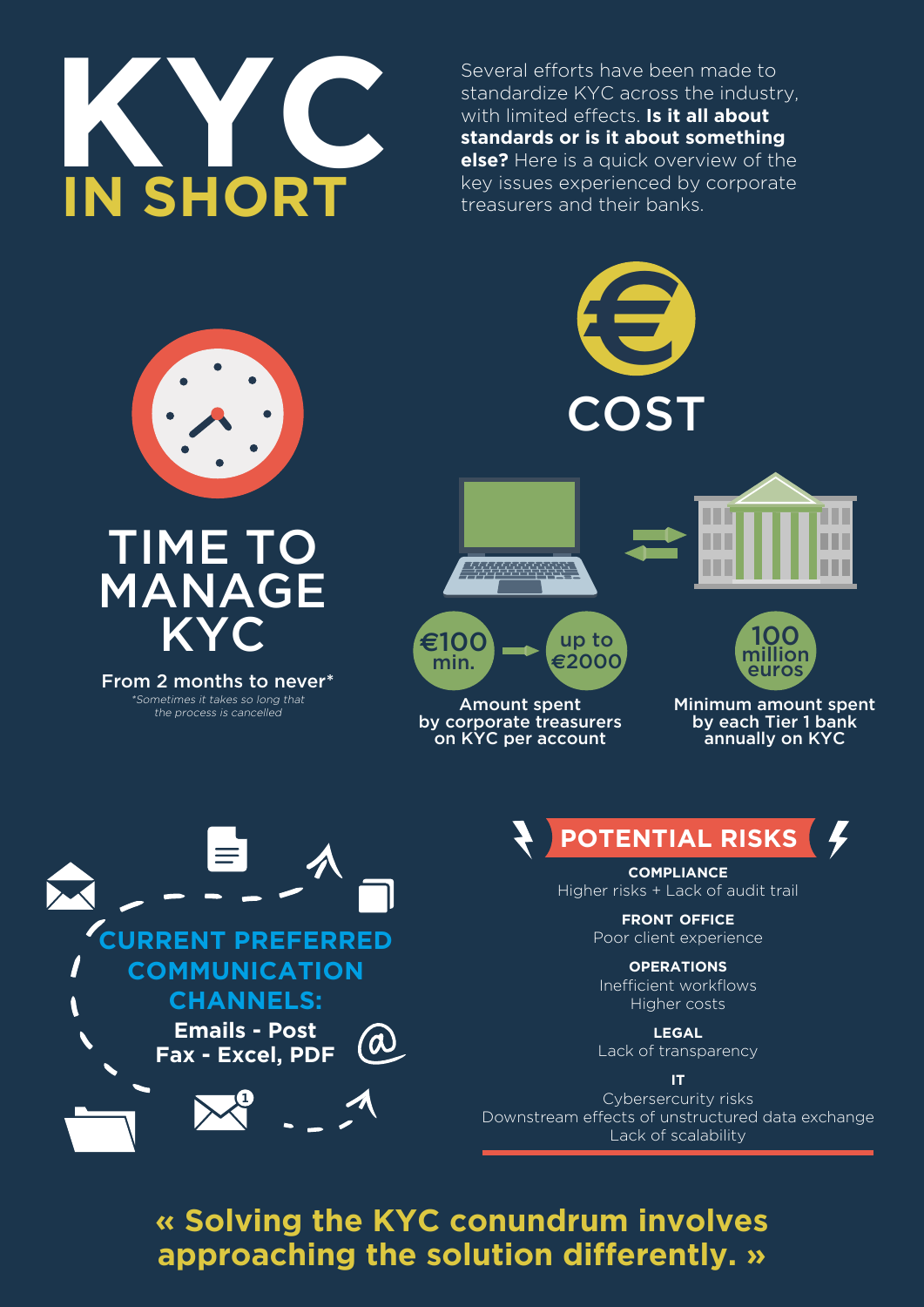

Several efforts have been made to standardize KYC across the industry, with limited effects. **Is it all about standards or is it about something else?** Here is a quick overview of the key issues experienced by corporate treasurers and their banks.



## TIME TO MANAGE KYC

From 2 months to never\* \*Sometimes it takes so long that the process is cancelled



Amount spent by corporate treasurers on KYC per account

Minimum amount spent by each Tier 1 bank annually on KYC



**POTENTIAL RISKS**

**compliance** Higher risks + Lack of audit trail

> **front office** Poor client experience

**operations** Inefficient workflows Higher costs

**legal** Lack of transparency

**it** Cybersercurity risks Downstream effects of unstructured data exchange Lack of scalability

**« Solving the KYC conundrum involves approaching the solution differently. »**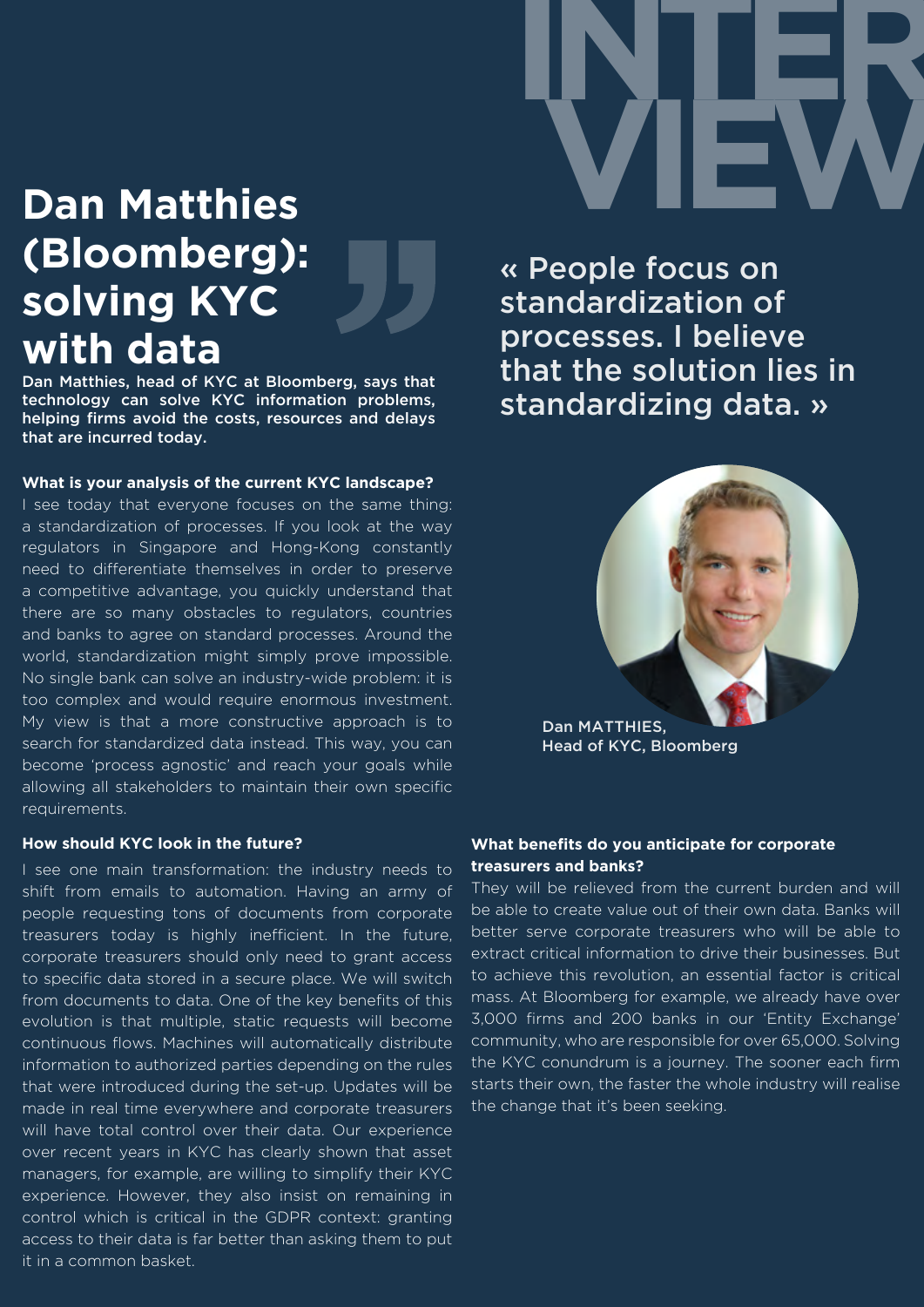

## **Dan Matthies (Bloomberg): solving KYC with data**

Dan Matthies, head of KYC at Bloomberg, says that technology can solve KYC information problems, helping firms avoid the costs, resources and delays that are incurred today.

#### **What is your analysis of the current KYC landscape?**

I see today that everyone focuses on the same thing: a standardization of processes. If you look at the way regulators in Singapore and Hong-Kong constantly need to differentiate themselves in order to preserve a competitive advantage, you quickly understand that there are so many obstacles to regulators, countries and banks to agree on standard processes. Around the world, standardization might simply prove impossible. No single bank can solve an industry-wide problem: it is too complex and would require enormous investment. My view is that a more constructive approach is to search for standardized data instead. This way, you can become 'process agnostic' and reach your goals while allowing all stakeholders to maintain their own specific requirements.

#### **How should KYC look in the future?**

I see one main transformation: the industry needs to shift from emails to automation. Having an army of people requesting tons of documents from corporate treasurers today is highly inefficient. In the future, corporate treasurers should only need to grant access to specific data stored in a secure place. We will switch from documents to data. One of the key benefits of this evolution is that multiple, static requests will become continuous flows. Machines will automatically distribute information to authorized parties depending on the rules that were introduced during the set-up. Updates will be made in real time everywhere and corporate treasurers will have total control over their data. Our experience over recent years in KYC has clearly shown that asset managers, for example, are willing to simplify their KYC experience. However, they also insist on remaining in control which is critical in the GDPR context: granting access to their data is far better than asking them to put it in a common basket.

« People focus on standardization of processes. I believe that the solution lies in standardizing data. »



Dan MATTHIES, Head of KYC, Bloomberg

#### **What benefits do you anticipate for corporate treasurers and banks?**

They will be relieved from the current burden and will be able to create value out of their own data. Banks will better serve corporate treasurers who will be able to extract critical information to drive their businesses. But to achieve this revolution, an essential factor is critical mass. At Bloomberg for example, we already have over 3,000 firms and 200 banks in our 'Entity Exchange' community, who are responsible for over 65,000. Solving the KYC conundrum is a journey. The sooner each firm starts their own, the faster the whole industry will realise the change that it's been seeking.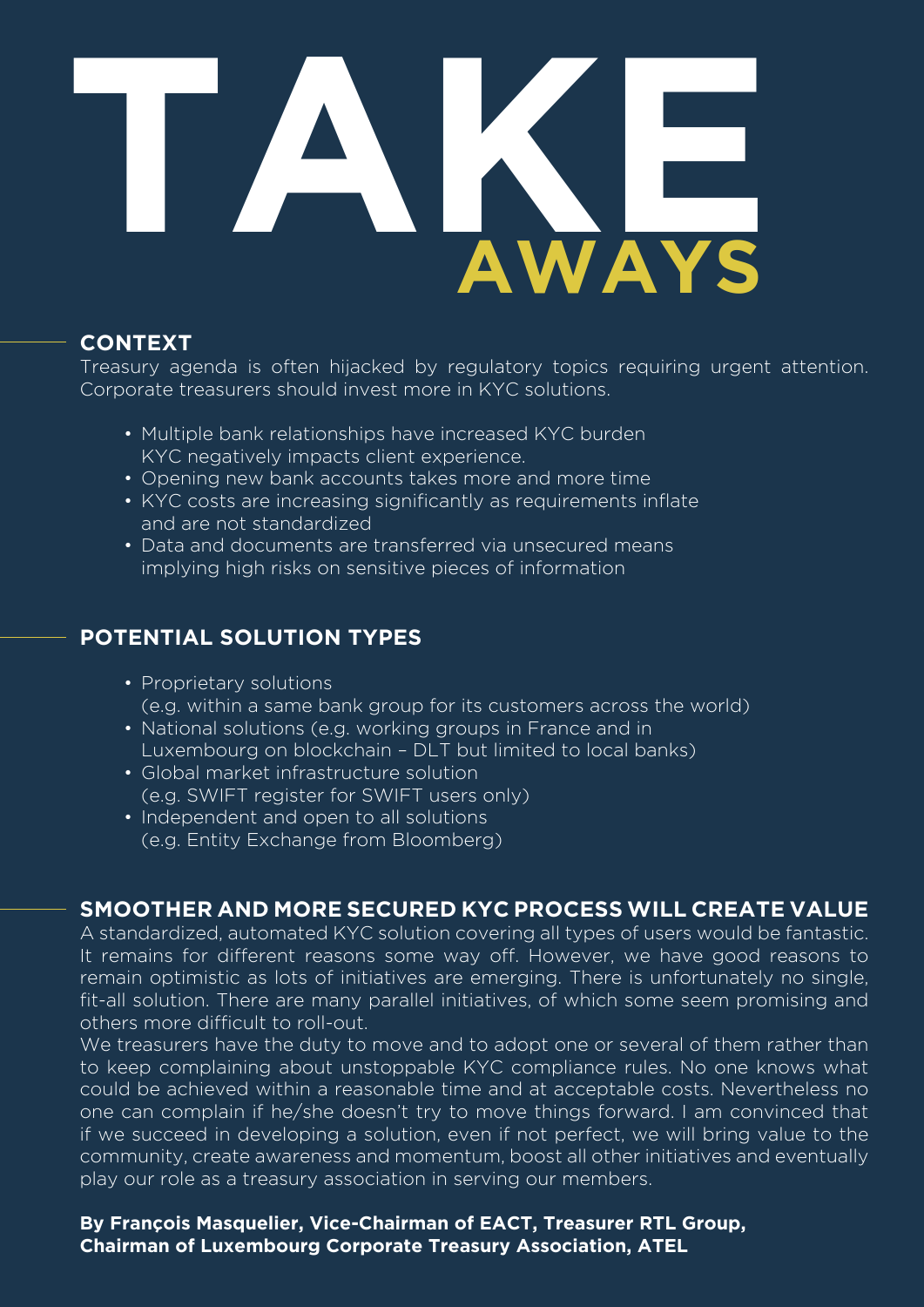# **AWAYS TAKE**

#### **CONTEXT**

Treasury agenda is often hijacked by regulatory topics requiring urgent attention. Corporate treasurers should invest more in KYC solutions.

- Multiple bank relationships have increased KYC burden KYC negatively impacts client experience.
- Opening new bank accounts takes more and more time
- KYC costs are increasing significantly as requirements inflate and are not standardized
- Data and documents are transferred via unsecured means implying high risks on sensitive pieces of information

#### **POTENTIAL SOLUTION TYPES**

- Proprietary solutions (e.g. within a same bank group for its customers across the world)
- National solutions (e.g. working groups in France and in Luxembourg on blockchain – DLT but limited to local banks)
- Global market infrastructure solution (e.g. SWIFT register for SWIFT users only)
- Independent and open to all solutions (e.g. Entity Exchange from Bloomberg)

#### **SMOOTHER AND MORE SECURED KYC PROCESS WILL CREATE VALUE**

A standardized, automated KYC solution covering all types of users would be fantastic. It remains for different reasons some way off. However, we have good reasons to remain optimistic as lots of initiatives are emerging. There is unfortunately no single, fit-all solution. There are many parallel initiatives, of which some seem promising and others more difficult to roll-out.

We treasurers have the duty to move and to adopt one or several of them rather than to keep complaining about unstoppable KYC compliance rules. No one knows what could be achieved within a reasonable time and at acceptable costs. Nevertheless no one can complain if he/she doesn't try to move things forward. I am convinced that if we succeed in developing a solution, even if not perfect, we will bring value to the community, create awareness and momentum, boost all other initiatives and eventually play our role as a treasury association in serving our members.

**By François Masquelier, Vice-Chairman of EACT, Treasurer RTL Group, Chairman of Luxembourg Corporate Treasury Association, ATEL**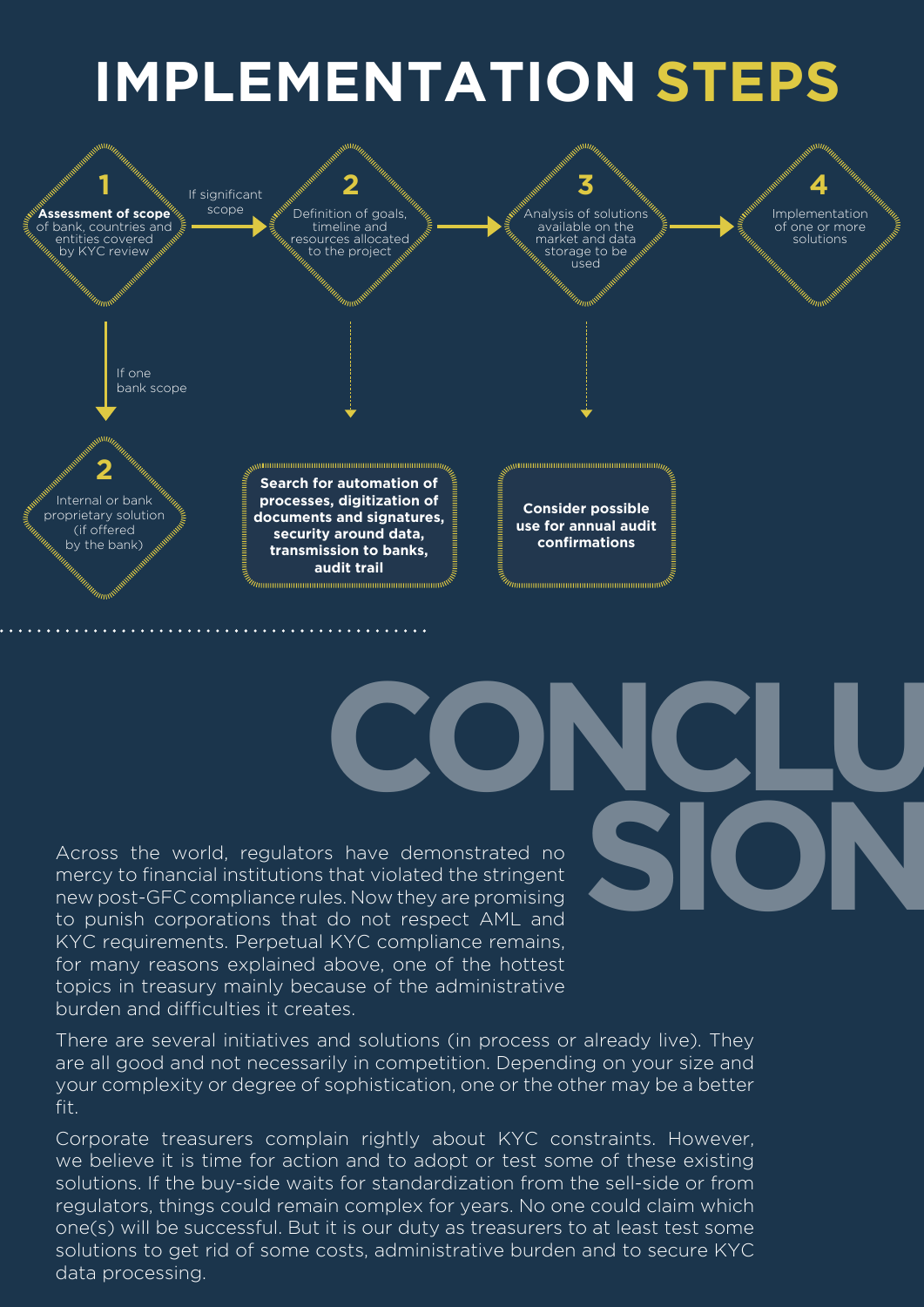## **IMPLEMENTATION STEPS**



**CONCLU**

**SION**

Across the world, regulators have demonstrated no mercy to financial institutions that violated the stringent new post-GFC compliance rules. Now they are promising to punish corporations that do not respect AML and KYC requirements. Perpetual KYC compliance remains, for many reasons explained above, one of the hottest topics in treasury mainly because of the administrative burden and difficulties it creates.

There are several initiatives and solutions (in process or already live). They are all good and not necessarily in competition. Depending on your size and your complexity or degree of sophistication, one or the other may be a better fit.

Corporate treasurers complain rightly about KYC constraints. However, we believe it is time for action and to adopt or test some of these existing solutions. If the buy-side waits for standardization from the sell-side or from regulators, things could remain complex for years. No one could claim which one(s) will be successful. But it is our duty as treasurers to at least test some solutions to get rid of some costs, administrative burden and to secure KYC data processing.